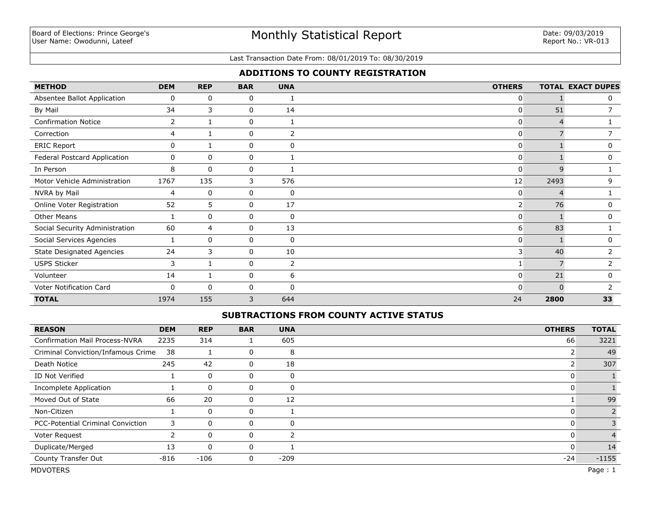#### Last Transaction Date From: 08/01/2019 To: 08/30/2019

## **ADDITIONS TO COUNTY REGISTRATION**

| <b>METHOD</b>                    | <b>DEM</b>     | <b>REP</b>     | <b>BAR</b> | <b>UNA</b>  | <b>OTHERS</b>  |              | <b>TOTAL EXACT DUPES</b> |
|----------------------------------|----------------|----------------|------------|-------------|----------------|--------------|--------------------------|
| Absentee Ballot Application      | 0              | 0              | 0          |             | 0              |              | 0                        |
| By Mail                          | 34             | 3              | 0          | 14          | 0              | 51           |                          |
| <b>Confirmation Notice</b>       | $\overline{2}$ |                | 0          |             | 0              |              |                          |
| Correction                       | 4              |                | 0          | 2           | 0              |              |                          |
| <b>ERIC Report</b>               | 0              |                | 0          | 0           | 0              |              | 0                        |
| Federal Postcard Application     | 0              | $\mathbf{0}$   | 0          |             | 0              |              | 0                        |
| In Person                        | 8              | $\mathbf{0}$   | 0          |             | 0              | $\mathsf{Q}$ |                          |
| Motor Vehicle Administration     | 1767           | 135            | 3          | 576         | 12             | 2493         | 9                        |
| NVRA by Mail                     | 4              | $\mathbf 0$    | 0          | 0           | 0              | 4            |                          |
| Online Voter Registration        | 52             | 5              | 0          | 17          | $2^{\mid}$     | 76           | 0                        |
| <b>Other Means</b>               |                | 0              | 0          | $\mathbf 0$ | $\overline{0}$ |              | 0                        |
| Social Security Administration   | 60             | $\overline{4}$ | 0          | 13          | 6              | 83           |                          |
| Social Services Agencies         |                | 0              | 0          | $\mathbf 0$ | 0              |              | 0                        |
| <b>State Designated Agencies</b> | 24             | 3              | 0          | 10          | 3              | 40           | $\overline{2}$           |
| <b>USPS Sticker</b>              | 3              | 1              | 0          | 2           |                |              | $\overline{2}$           |
| Volunteer                        | 14             | 1              | 0          | 6           | 0              | 21           | $\mathbf{0}$             |
| Voter Notification Card          | $\mathbf{0}$   | $\mathbf{0}$   | 0          | 0           | 0              | <sup>0</sup> | $\mathcal{P}$            |
| <b>TOTAL</b>                     | 1974           | 155            | 3          | 644         | 24             | 2800         | 33                       |

### **SUBTRACTIONS FROM COUNTY ACTIVE STATUS**

| <b>REASON</b>                         | <b>DEM</b> | <b>REP</b>   | <b>BAR</b> | <b>UNA</b>    | <b>OTHERS</b> | <b>TOTAL</b> |
|---------------------------------------|------------|--------------|------------|---------------|---------------|--------------|
| <b>Confirmation Mail Process-NVRA</b> | 2235       | 314          |            | 605           | 66            | 3221         |
| Criminal Conviction/Infamous Crime    | 38         |              | 0          | 8             |               | 49           |
| Death Notice                          | 245        | 42           | 0          | 18            |               | 307          |
| ID Not Verified                       |            | 0            | 0          | 0             |               |              |
| Incomplete Application                |            | $\Omega$     | 0          | 0             |               |              |
| Moved Out of State                    | 66         | 20           | 0          | 12            |               | 99           |
| Non-Citizen                           |            | $\mathbf{0}$ | 0          |               | U             |              |
| PCC-Potential Criminal Conviction     | 3          | $\mathbf 0$  | 0          | 0             | U             |              |
| Voter Request                         |            | $\mathbf{0}$ | 0          | $\mathcal{P}$ | 0             |              |
| Duplicate/Merged                      | 13         | $\mathbf{0}$ | 0          |               | 0             | 14           |
| County Transfer Out                   | $-816$     | $-106$       | 0          | $-209$        | $-24$         | $-1155$      |
| <b>MDVOTERS</b>                       |            |              |            |               |               | Page: 1      |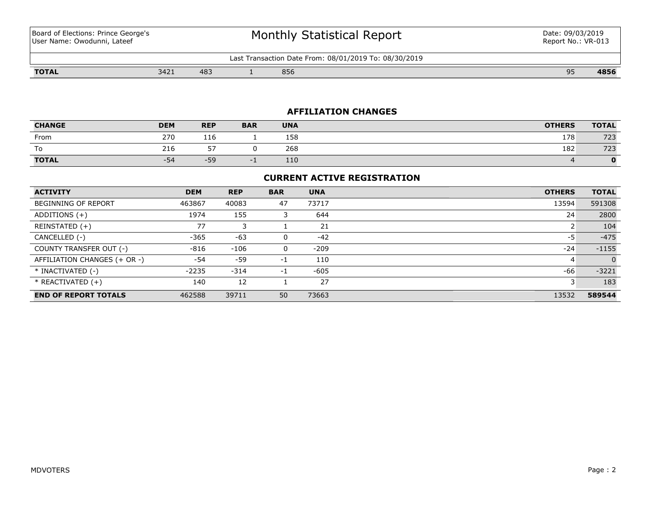Board of Elections: Prince George's User Name: Owodunni, Lateef

# Monthly Statistical Report

Last Transaction Date From: 08/01/2019 To: 08/30/2019

**TOTAL** 3421 483 1 856 95 **4856**

## **AFFILIATION CHANGES**

| <b>CHANGE</b> | <b>DEM</b> | <b>REP</b> | <b>BAR</b> | <b>UNA</b> | <b>OTHERS</b> | <b>TOTAL</b> |
|---------------|------------|------------|------------|------------|---------------|--------------|
| From          | 270        | 116        |            | 158        | 178           | 723          |
| To            | 216        |            |            | 268        | 182           | 723          |
| <b>TOTAL</b>  | $-54$      | $-59$      | $\sim$     | 110        |               |              |

## **CURRENT ACTIVE REGISTRATION**

| <b>ACTIVITY</b>              | <b>DEM</b> | <b>REP</b> | <b>BAR</b> | <b>UNA</b> | <b>OTHERS</b> | <b>TOTAL</b> |
|------------------------------|------------|------------|------------|------------|---------------|--------------|
| <b>BEGINNING OF REPORT</b>   | 463867     | 40083      | 47         | 73717      | 13594         | 591308       |
| ADDITIONS $(+)$              | 1974       | 155        |            | 644        | 24            | 2800         |
| REINSTATED (+)               | 77         |            |            | 21         |               | 104          |
| CANCELLED (-)                | $-365$     | $-63$      | 0          | $-42$      | -5            | $-475$       |
| COUNTY TRANSFER OUT (-)      | $-816$     | $-106$     | 0          | $-209$     | $-24$         | $-1155$      |
| AFFILIATION CHANGES (+ OR -) | $-54$      | $-59$      | $-1$       | 110        | 4             | $\Omega$     |
| * INACTIVATED (-)            | $-2235$    | $-314$     | $-1$       | $-605$     | -66           | $-3221$      |
| * REACTIVATED (+)            | 140        | 12         |            | 27         |               | 183          |
| <b>END OF REPORT TOTALS</b>  | 462588     | 39711      | 50         | 73663      | 13532         | 589544       |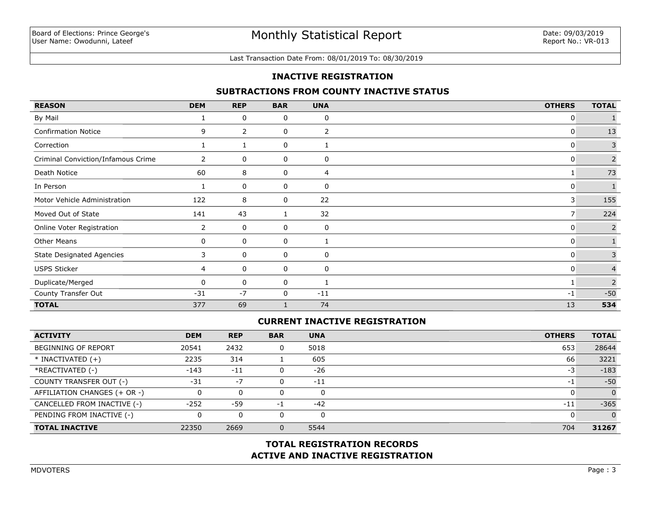#### Last Transaction Date From: 08/01/2019 To: 08/30/2019

## **INACTIVE REGISTRATION**

### **SUBTRACTIONS FROM COUNTY INACTIVE STATUS**

| <b>REASON</b>                      | <b>DEM</b>     | <b>REP</b> | <b>BAR</b> | <b>UNA</b> | <b>OTHERS</b> | <b>TOTAL</b>    |
|------------------------------------|----------------|------------|------------|------------|---------------|-----------------|
| By Mail                            |                | 0          | 0          | 0          | 0             |                 |
| <b>Confirmation Notice</b>         | 9              | 2          | 0          | 2          | 0             | 13              |
| Correction                         |                |            | 0          |            | 0             | 3               |
| Criminal Conviction/Infamous Crime | $\overline{2}$ | 0          | 0          | 0          | 0             | $\overline{2}$  |
| Death Notice                       | 60             | 8          | 0          | 4          |               | 73              |
| In Person                          |                | 0          | 0          | 0          | 0             | $\mathbf{1}$    |
| Motor Vehicle Administration       | 122            | 8          | 0          | 22         | 3             | 155             |
| Moved Out of State                 | 141            | 43         |            | 32         | 7             | 224             |
| Online Voter Registration          | 2              | 0          | 0          | 0          | 0             | $2\overline{ }$ |
| <b>Other Means</b>                 | $\mathbf{0}$   | 0          | 0          |            | 0             |                 |
| <b>State Designated Agencies</b>   | 3              | 0          | 0          | 0          | 0             | 3               |
| <b>USPS Sticker</b>                | 4              | 0          | 0          | 0          | 0             | $\overline{4}$  |
| Duplicate/Merged                   | $\Omega$       | 0          | 0          |            | -1            | $\overline{2}$  |
| County Transfer Out                | $-31$          | $-7$       | 0          | $-11$      | $-1$          | $-50$           |
| <b>TOTAL</b>                       | 377            | 69         |            | 74         | 13            | 534             |

## **CURRENT INACTIVE REGISTRATION**

| <b>ACTIVITY</b>              | <b>DEM</b> | <b>REP</b> | <b>BAR</b> | <b>UNA</b> | <b>OTHERS</b> | <b>TOTAL</b> |
|------------------------------|------------|------------|------------|------------|---------------|--------------|
| <b>BEGINNING OF REPORT</b>   | 20541      | 2432       |            | 5018       | 653           | 28644        |
| $*$ INACTIVATED $(+)$        | 2235       | 314        |            | 605        | 66            | 3221         |
| *REACTIVATED (-)             | $-143$     | $-11$      |            | $-26$      | -3            | $-183$       |
| COUNTY TRANSFER OUT (-)      | $-31$      | $-7$       |            | $-11$      | $-1$          | $-50$        |
| AFFILIATION CHANGES (+ OR -) |            | 0          |            | 0          |               |              |
| CANCELLED FROM INACTIVE (-)  | $-252$     | -59        | -1         | $-42$      | $-11$         | $-365$       |
| PENDING FROM INACTIVE (-)    |            | 0          |            | 0          |               |              |
| <b>TOTAL INACTIVE</b>        | 22350      | 2669       |            | 5544       | 704           | 31267        |

## **ACTIVE AND INACTIVE REGISTRATION TOTAL REGISTRATION RECORDS**